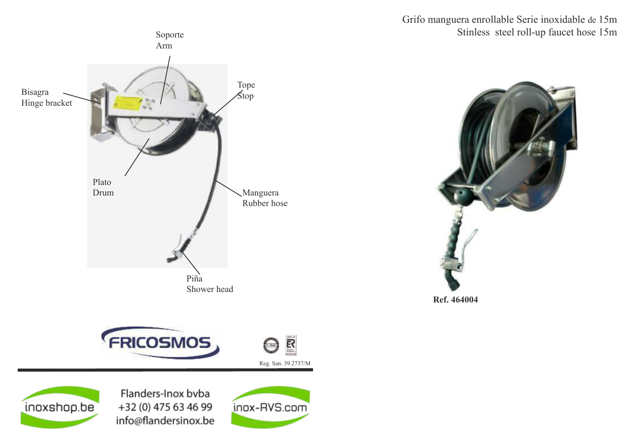Grifo manguera enrollable Serie inoxidable de 15m Stinless steel roll-up faucet hose 15m